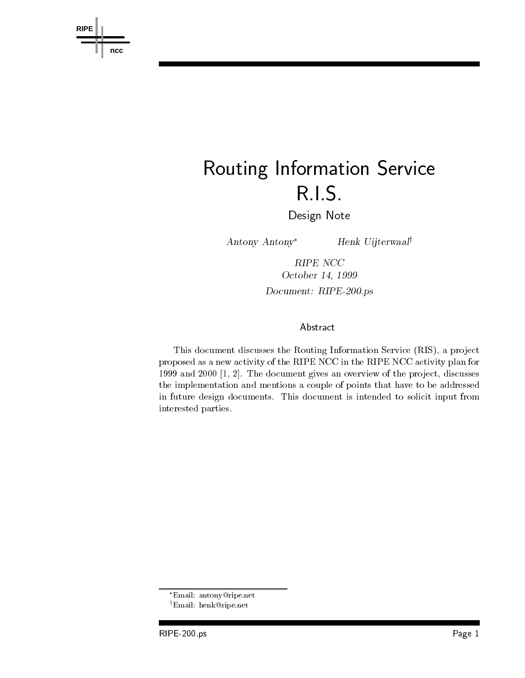

# Routing Information Service RIS

Design Note

Antony Antony<sup>\*</sup> Henk Uijterwaal<sup>†</sup>

RIPE NCC October - Document: RIPE-200.ps

# Abstract

This document discusses the Routing Information Service RIS- a pro ject proposed as a new activity of the RIPE NCC in the RIPE NCC activity plan for and the document gives and discussed of the production of the projection which we have the problem of the problem of the implementation and mentions a couple of points that have to be addressed in future design documents. This document is intended to solicit input from interested parties 

Email antonyripe-net

<sup>&#</sup>x27;Email: nenk@ripe.net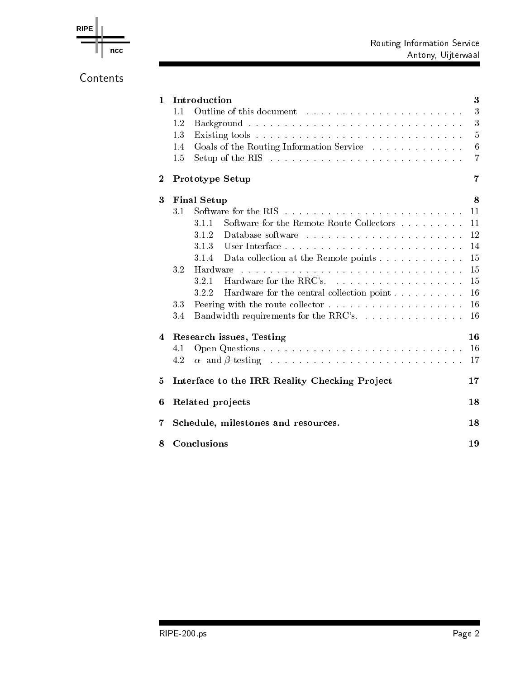



Contents

| $\mathbf{1}$ | Introduction                                                                             | 3              |  |  |  |  |  |
|--------------|------------------------------------------------------------------------------------------|----------------|--|--|--|--|--|
|              | 1.1                                                                                      | 3              |  |  |  |  |  |
|              | 1.2                                                                                      | 3              |  |  |  |  |  |
|              | 1.3                                                                                      | 5              |  |  |  |  |  |
|              | Goals of the Routing Information Service<br>1.4                                          | 6              |  |  |  |  |  |
|              | Setup of the RIS $\ldots \ldots \ldots \ldots \ldots \ldots \ldots \ldots \ldots$<br>1.5 | $\overline{7}$ |  |  |  |  |  |
| $\bf{2}$     | Prototype Setup                                                                          |                |  |  |  |  |  |
| 3            | <b>Final Setup</b>                                                                       |                |  |  |  |  |  |
|              | 3.1                                                                                      | 11             |  |  |  |  |  |
|              | Software for the Remote Route Collectors<br>3.1.1                                        | 11             |  |  |  |  |  |
|              | 3.1.2                                                                                    | 12             |  |  |  |  |  |
|              | 3.1.3                                                                                    | 14             |  |  |  |  |  |
|              | Data collection at the Remote points<br>3.1.4                                            | 15             |  |  |  |  |  |
|              | 3.2                                                                                      | 15             |  |  |  |  |  |
|              | 3.2.1                                                                                    | 15             |  |  |  |  |  |
|              | 3.2.2                                                                                    | 16             |  |  |  |  |  |
|              | 3.3                                                                                      | 16             |  |  |  |  |  |
|              | Bandwidth requirements for the RRC's.<br>3.4                                             | -16            |  |  |  |  |  |
| 4            | Research issues, Testing                                                                 |                |  |  |  |  |  |
|              | 4.1                                                                                      | 16             |  |  |  |  |  |
|              | 4.2                                                                                      | 17             |  |  |  |  |  |
| 5            | Interface to the IRR Reality Checking Project                                            |                |  |  |  |  |  |
| 6            | Related projects                                                                         |                |  |  |  |  |  |
| 7            | Schedule, milestones and resources.                                                      |                |  |  |  |  |  |
|              | $C_{\alpha}$ or all $\alpha$ is a set of $\alpha$                                        |                |  |  |  |  |  |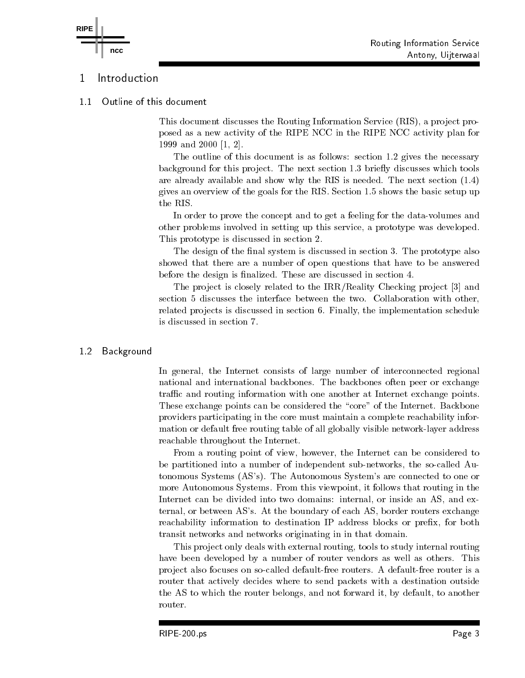#### Introduction 1

**ncc**

**RIPE**

 Outline of this document  $1.1$ 

> This document discusses the Routing Information Service RIS- a pro ject pro posed as a new activity of the RIPE NCC in the RIPE NCC activity plan for and -

The outline of this document is as follows: section  $1.2$  gives the necessary background for the project this model which the next section  $\mu$  and the next section  $\mu$ are already available and show why the RIS is needed. The next section  $(1.4)$ gives an overview of the goals for the RIS. Section  $1.5$  shows the basic setup up the RIS 

In order to prove the concept and to get a feeling for the data-volumes and other problems involved in setting up this service- a prototype was developed This prototype is discussed in section 2.

The design of the nal system is discussed in section The prototype also showed that there are a number of open questions that have to be answered before the design is finalized. These are discussed in section 4.

The pro ject is closely related to the IRRReality Checking pro ject and section 5 discusses the interface between the two. Collaboration with other, related pro jects is discussed in section 
 Finally- the implementation schedule is discussed in section 7.

#### Background 1.2

In general- the Internet consists of large number of interconnected regional national and international backbones. The backbones often peer or exchange traffic and routing information with one another at Internet exchange points. These exchange points can be considered the "core" of the Internet. Backbone providers participating in the core must maintain a complete reachability infor mation or default free routing table of all globally visible network-layer address reachable throughout the Internet 

From a routing point of view- however- the Internet can be considered to be partitioned into a number of independent subnetworks- the socalled Au tonomous Systems (AS's). The Autonomous System's are connected to one or more and the second this viewpoint-beneficient and the viewpoint-theory that routing in the contract of the co Internet can be divided into two domains internal- or inside an AS- and ex ternal-boundary or boundary or boundary of each AS-  $\Lambda$  . The boundary of  $\Lambda$ reachability information to destination IP address blocks or prex- for both transit networks and networks originating in in that domain 

This pro ject only deals with external routing- tools to study internal routing have been developed by a number of router vendors as well as others. This project also focuses on so-called default-free routers. A default-free router is a router that actively decides where to send packets with a destination outside the AS to which the router belongs-to-which the router belongs-to-ward it-forward it-forward it-forward it-forward it-forward it-forward it-forward it-forward it-forward it-forward it-forward it-forward it-forward it-forw router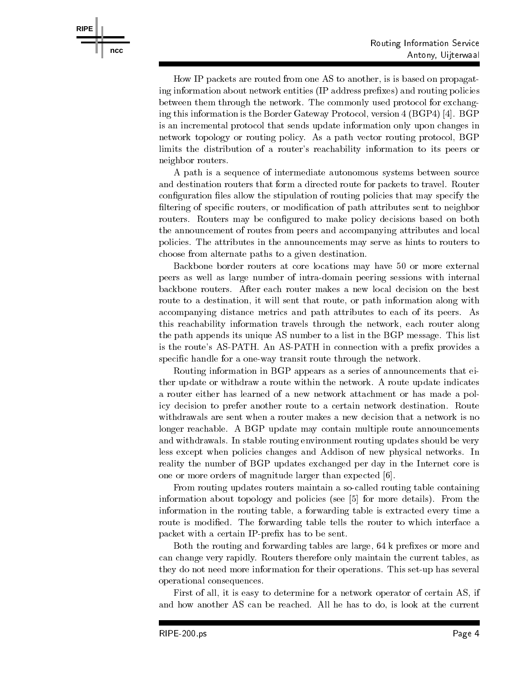How IP packets are routed from one AS to another- is is based on propagat ing information about network entities (IP address prefixes) and routing policies between them through the network. The commonly used protocol for exchanging the extended in the Border Gateway Protocol- (see Fig. ) . If  $\mathbb{R}^n$  is the  $\mathbb{R}^n$ is an incremental protocol that sends update information only upon changes in network to possibly the routing policy. The as path vector routing protocol-based in the collection of the secondlimits the distribution of a router's reachability information to its peers or neighbor routers 

A path is a sequence of intermediate autonomous systems between source and destination routers that form a directed route for packets to travel. Router configuration files allow the stipulation of routing policies that may specify the ltering of specic routers- or modication of path attributes sent to neighbor routers. Routers may be configured to make policy decisions based on both the announcement of routes from peers and accompanying attributes and local policies. The attributes in the announcements may serve as hints to routers to choose from alternate paths to a given destination 

Backbone border routers at core locations may have 50 or more external peers as well as large number of intradomain peering sessions with internal backbone routers After each router makes a new local decision on the best route-to-a destination-beneficial sent that route-to-a destination-beneficial sent that route-to-a destination accompanying distance metrics and path attributes to each of its peers. As this reachability information through the network-  $\mathbf{r}$ the path appends its unique AS number to a list in the BGP message. This list is the route's AS-PATH. An AS-PATH in connection with a prefix provides a specific handle for a one-way transit route through the network.

Routing information in BGP appears as a series of announcements that ei ther update or withdraw a route within the network A route update indicates a router either has learned of a new network attachment or has made a pol icy decision to prefer another route to a certain network destination Route withdrawals are sent when a router makes a new decision that a network is no longer reachable. A BGP update may contain multiple route announcements and withdrawals. In stable routing environment routing updates should be very less except when policies changes and Addison of new physical networks. In reality the number of BGP updates exchanged per day in the Internet core is one or more orders of magnitude larger than expected [6].

From routing updates routers maintain a socalled routing table containing information about topology and policies (see  $[5]$  for more details). From the information in the routing tableroute is modified. The forwarding table tells the router to which interface a packet with a certain IP-prefix has to be sent.

 $\mathbf{A}$  and forwarding and forwarding tables are largecan change very rapidly rapidly rapidly rapidly rapidly maintains the current tablesthey do not need more information for their operations. This set-up has several operational consequences 

First of all- it is easy to determine for a network operator of certain AS- if and discussed and the reached at the context at the doctor at the state at the current at the current of  $\sim$ 

**RIPE ncc**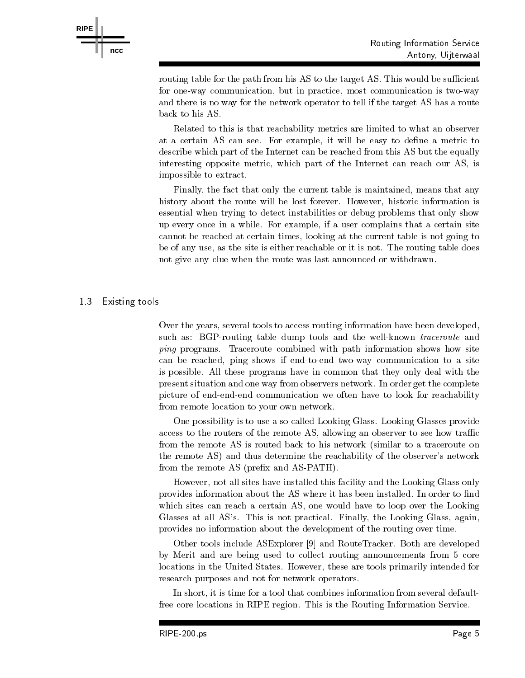



Related to this is that reachability metrics are limited to what an observer at a certain AS can see a control be easy to density to density to density at metric to density and describe which part of the Internet can be reached from this AS but the equally interesting opposite metric-type metric part of the Internet can reach our AS-C and  $\sim$ impossible to extract 

Finally- the fact that only the current table is maintained- means that any history about the route will be lost forever However- historic information is essential when trying to detect instabilities or debug problems that only show up every once in a while the complexy of a while complete complete a certain site  $\alpha$ cannot be reached at certain times- looking at the current table is not going to  $\mathcal{L}$  as the site is either reachable or it is not it is not it is not it is not it is not it is not it is not it is not it is not it is not it is not it is not it is not it is not it is not it is not it is not it is n not give any clue when the route was last announced or withdrawn 

### 13 Existing tools

**RIPE**

**ncc**

Over the years- several tools to access routing information have been developedsuch as: BGP-routing table dump tools and the well-known *traceroute* and ping programs. Traceroute combined with path information shows how site can be reached the ping shows if the communication to a site of the site of the site of the site of the site o is possible. All these programs have in common that they only deal with the present situation and one way from observers network In order get the complete picture of end-end-end communication we often have to look for reachability from remote location to your own network 

One possibility is to use a so-called Looking Glass. Looking Glasses provide access to the routers of the remote ASfrom the remote AS is routed back to his network (similar to a traceroute on the remote AS) and thus determine the reachability of the observer's network from the remote AS (prefix and AS-PATH).

However- not all sites have installed this facility and the Looking Glass only provides information about the AS where it has been installed. In order to find which sites can reach a certain AS- one would have to loop over the Looking have to loop over the Looking over Glasses at all ASs This is not practical Finally- the Looking Glass- againprovides no information about the development of the routing over time 

Other tools include ASExplorer [9] and RouteTracker. Both are developed by Merit and are being used to collect routing announcements from 5 core locations in the United States However- these are tools primarily intended for research purposes and not for network operators 

In short- it is time for a tool that combines information from several default free core locations in RIPE region. This is the Routing Information Service.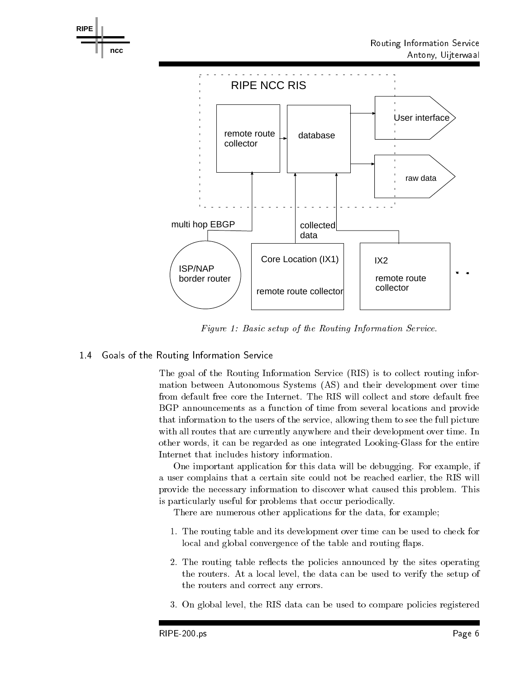

Figure 1: Basic setup of the Routing Information Service.

1.4 Goals of the Routing Information Service

The goal of the Routing Information Service (RIS) is to collect routing information between Autonomous Systems (AS) and their development over time from default free core the Internet. The RIS will collect and store default free BGP announcements as a function of time from several locations and provide that information to the users of the service-service-service-service-service-service-service-service-service-service-service-service-service-service-service-service-service-service-service-service-service-service-servicewith all routes that are currently anywhere and their development over time. In other words- it can be regarded as one integration in the entirely control integrated as one integrated as Internet that includes history information 

One important application for this data will be debugging For example- if a user complains that a certain site could not be reached that the reached early the RIS will be provide the necessary information to discover what caused this problem. This is particularly useful for problems that occur periodically 

There are numerous other applications for the data- for example

- The routing table and its development over time can be used to check for local and global convergence of the table and routing flaps.
- 2. The routing table reflects the policies announced by the sites operating the routers in a local level-data can be used to verify the setup of the setup of the routers and correct any errors
- or global <sub>ri</sub>s data can be used to compare the used to compare policies registered to compare policies registered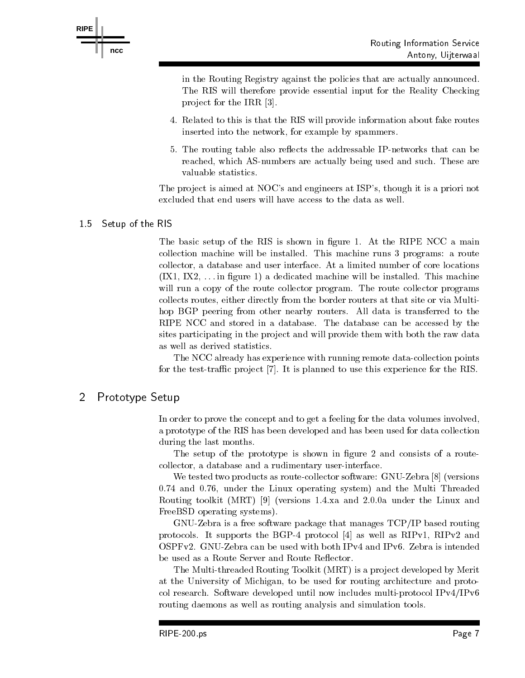

in the Routing Registry against the policies that are actually announced The RIS will therefore provide essential input for the Reality Checking pro ject for the IRR 

- Related to this is that the RIS will provide information about fake routes inserted into the network- for example by spammers
- 5. The routing table also reflects the addressable IP-networks that can be reached- which as numbers are actually being used and such a means where  $\sim$ valuable statistics

The pro ject is aimed at NOCs and engineers at ISPs- though it is a priori not excluded that end users will have access to the data as well 

# 1.5 Setup of the RIS

The basic setup of the RIS is shown in figure 1. At the RIPE NCC a main collection machinese will be installed to the installer runs of the programs and the runs of the collection of collector-base and user interface and user interface and user interfaces and user interfaces of core locations IX- IX- in gure a dedicated machine will be installed This machine will run a copy of the route collector program. The route collector programs collects routes- the border routes-  $\alpha$  at the border routes at the border routes at the multiple or via  $\alpha$ hop BGP peering from other nearby routers. All data is transferred to the RIPE NCC and stored in a database. The database can be accessed by the sites participating in the project and will provide them with both the raw data as well as derived statistics 

The NCC already has experience with running remote data-collection points for the test-traffic project  $[7]$ . It is planned to use this experience for the RIS.

# 2 Prototype Setup

In order to prove the concept and to get a feeling for the data volumes involved, a prototype of the RIS has been developed and has been used for data collection during the last months 

The setup of the prototype is shown in figure 2 and consists of a routecollector-distance and a rudimentary userinterface and a rudimentary userinterface and a rudimentary userinterface

We tested two products as route-collector software:  $GNU-Zebra [8]$  (versions and and the Linux operations are the Multi Threaded and the Multi Threaded and the Multi Threaded and the Multi Routing toolkit (MRT) [9] (versions  $1.4$  xa and  $2.0$  0a under the Linux and FreeBSD operating systems).

 $GNU-Zebra$  is a free software package that manages  $TCP/IP$  based routing protocols in the BGP protocol in the BGP protocol as well as well as RIPv-RIPV-RIPS-RIPS-RIPS-RIPS-RIPS-RIPS-R OSPFv2. GNU-Zebra can be used with both IPv4 and IPv6. Zebra is intended be used as a Route Server and Route Reflector.

The Multi-threaded Routing Toolkit (MRT) is a project developed by Merit at the University of Michigan- to be used for routing architecture and proto col research. Software developed until now includes multi-protocol  $IPv4/IPv6$ routing daemons as well as routing analysis and simulation tools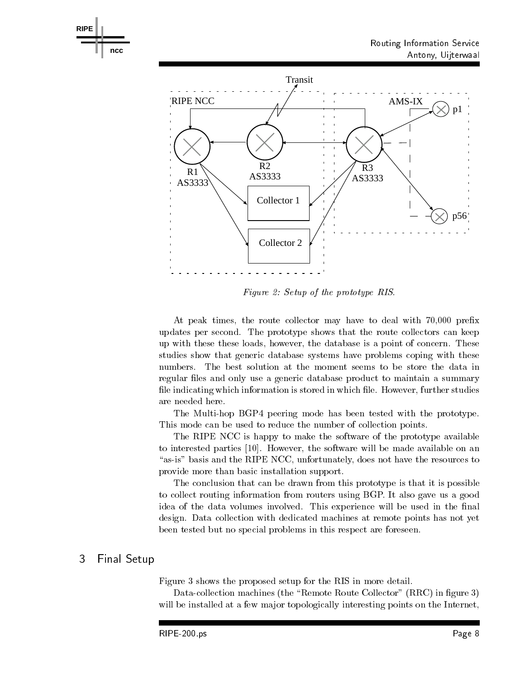

Figure 2: Setup of the prototype RIS.

At peak times- the route collector may have to deal with - prex updates per second. The prototype shows that the route collectors can keep up with the database is a point of the database is a point of concerning the concerning of concerning the second studies show that generic database systems have problems coping with these numbers. The best solution at the moment seems to be store the data in regular files and only use a generic database product to maintain a summary le indicating which information is stored in which le However- further studies are needed here 

The Multi-hop BGP4 peering mode has been tested with the prototype. This mode can be used to reduce the number of collection points 

The RIPE NCC is happy to make the software of the prototype available to interested parties  $\vert$  av $\vert$  corrected and available on an anomal available on an anomal  $\vert$ asis basis and the RIPE NCC- in the resources to the resources to the resources to resource the resources to t provide more than basic installation support 

The conclusion that can be drawn from this prototype is that it is possible to collect routing information from routers using BGP. It also gave us a good idea of the data volumes involved. This experience will be used in the final design. Data collection with dedicated machines at remote points has not yet been tested but no special problems in this respect are foreseen 

# Final Setup

**RIPE**

**ncc**

Figure shows the proposed setup for the RIS in more detail 

 $D$  and  $D$  in guaranteed  $D$  in guaranteed  $D$  in guaranteed  $D$  in guaranteed  $D$  in guaranteed  $D$ will be installed at a few major topologically interesting points on the Internet,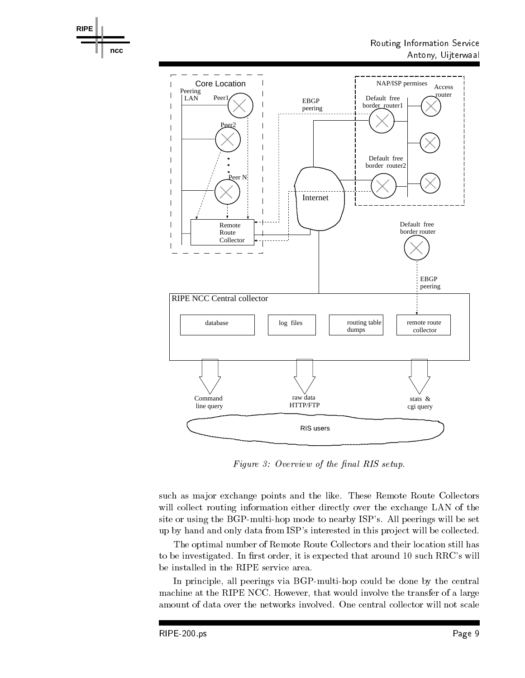

Figure 3: Overview of the final RIS setup.

such as major exchange points and the like. These Remote Route Collectors will collect routing information either directly over the exchange LAN of the site or using the BGP-multi-hop mode to nearby ISP's. All peerings will be set up by hand and only data from ISP's interested in this project will be collected.

The optimal number of Remote Route Collectors and their location still has to be investigated in reduced to a region order that around it is such a such as  $\sim$  . It is a such RRCs will be installed in the RIPE service area 

In principle- all peerings via BGPmultihop could be done by the central machine at the RIPE NCCC However-RIPE NCCC However-that would involve the transfer of a large-transfer of a la amount of data over the networks involved. One central collector will not scale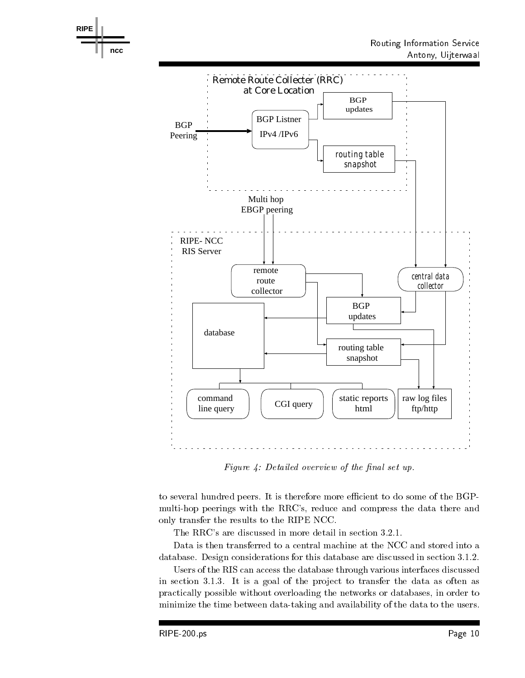



Figure 4: Detailed overview of the final set up.

to several hundred peers. It is therefore more efficient to do some of the BGPmultihop peerings with the RRCs- reduce and compress the data there and only transfer the results to the RIPE NCC 

Data is then transferred to a central machine at the NCC and stored into a database  $\mathcal D$  . Design considerations for the discussed in sections for the discussed in section  $\mathcal D$ 

Users of the RIS can access the database through various interfaces discussed in section It is a goal of the pro ject to transfer the data as often as practically possible without overloading the networks or databases- in order to minimize the time between data-taking and availability of the data to the users.

**RIPE**

**ncc**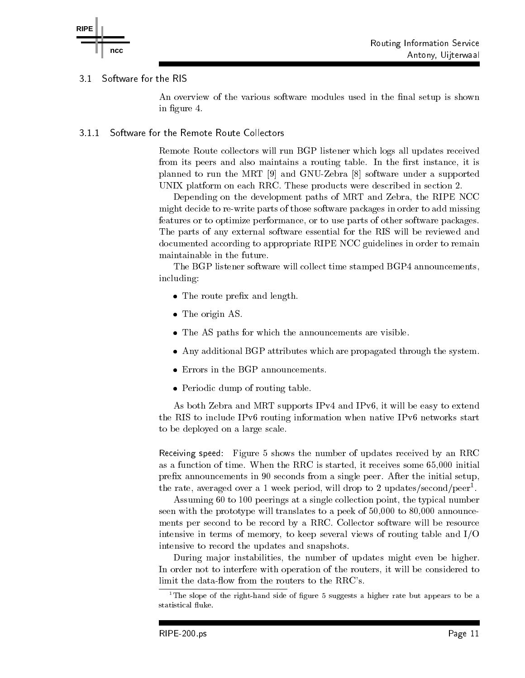

#### $3.1$ Software for the RIS

An overview of the various software modules used in the final setup is shown in figure 4.

#### 3 1 1 Software for the Remote Route Collectors

Remote Route collectors will run BGP listener which logs all updates received from its peers and also maintains a routing table In the rst instance- it is planned to run the MRT  $[9]$  and GNU-Zebra  $[8]$  software under a supported UNIX platform on each RRC. These products were described in section 2.

Depending on the development paths of MRT and Zebra- the RIPE NCC might decide to re-write parts of those software packages in order to add missing features or to optimize performance- or to use parts of other software packages The parts of any external software essential for the RIS will be reviewed and documented according to appropriate RIPE NCC guidelines in order to remain maintainable in the future 

The BGP listener software will collect time stamped BGP announcementsincluding

- $\bullet$  The route prefix and length.
- The origin AS.
- The AS paths for which the announcements are visible.
- Any additional BGP attributes which are propagated through the system
- Errors in the BGP announcements.
- Periodic dump of routing table.

As both Zebra and MRT supports IPv and IPv
- it will be easy to extend the RIS to include IPv6 routing information when native IP $\nu$ 6 networks start to be deployed on a large scale 

Receiving speed: Figure 5 shows the number of updates received by an RRC as a function of time  $\mathcal{L}$  is started as a function of time  $\mathcal{L}$  is started as a function of time  $\mathcal{L}$ prefix announcements in  $90$  seconds from a single peer. After the initial setup, the rate, averaged over a 1 week period, will drop to 2 updates/second/peer-.  $\hspace{0.1mm}$ 

 $\mathcal{A}$  , and the typical number  $\mathcal{A}$  are the typical number at a single collection point-typical number  $\mathcal{A}$ seen with the prototype will translates to a peek of - to - announce ments per second to be record by a RRC. Collector software will be resource intensive in terms of memory- to keep several views of routing table and IO intensive to record the updates and snapshots 

During ma jor instabilities- the number of updates might even be higher In order not to interfere with operation of the routers- it will be considered to limit the data-flow from the routers to the RRC's.

<sup>&</sup>lt;sup>1</sup>The slope of the right-hand side of figure 5 suggests a higher rate but appears to be a statistical fluke.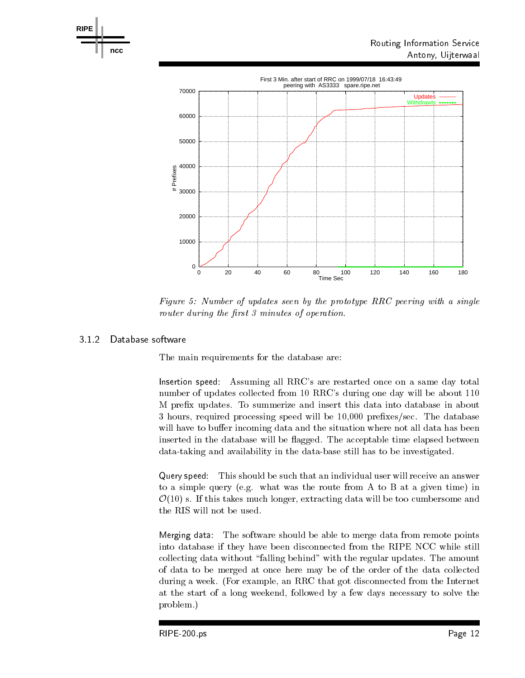

Figure 5: Number of updates seen by the prototype RRC peering with a single router during the first  $\beta$  minutes of operation.

**RIPE**

**ncc**

The main requirements for the database are:

Insertion speed: Assuming all RRC's are restarted once on a same day total number of updates collected from 10 RRC's during one day will be about  $110$ M prefix updates. To summerize and insert this data into database in about , and the database in the database of the speed will be a speed will be a speed with the speed will be a speed will have to buffer incoming data and the situation where not all data has been inserted in the database will be flagged. The acceptable time elapsed between data-taking and availability in the data-base still has to be investigated.

Query speed: This should be such that an individual user will receive an answer to a simple query (e.g. what was the route from A to B at a given time) in  $\alpha$  so it to the takes much longer-dimensional much longer-dimensional much and  $\alpha$ 

Merging data The software should be able to merge data from remote points into database if they have been disconnected from the RIPE NCC while still collecting data without "falling behind" with the regular updates. The amount of data to be merged atonce here may be of the order of the data collected during a week and the Internet exampleat the start of a long weekend- followed by a few days necessary to solve the problem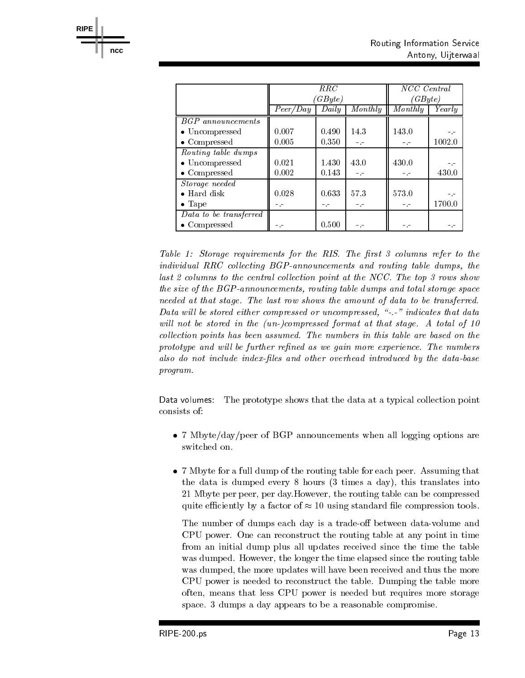|                        | RRC<br>$GB$ yte) |       | NCC Central<br>(GByte) |                       |           |
|------------------------|------------------|-------|------------------------|-----------------------|-----------|
|                        | Peer/Day         | Daily | $\overline{Monthly}$   | $\overline{M}$ onthly | Yearlu    |
| BGP announcements      |                  |       |                        |                       |           |
| • Uncompressed         | 0.007            | 0.490 | 14.3                   | 143.0                 | $-$ . $-$ |
| $\bullet$ Compressed   | 0.005            | 0.350 | $-1$                   |                       | 1002.0    |
| Routing table dumps    |                  |       |                        |                       |           |
| • Uncompressed         | 0.021            | 1.430 | 43.0                   | 430.0                 | $-$ . $-$ |
| $\bullet$ Compressed   | 0.002            | 0.143 | $-1$                   |                       | 430.0     |
| Storage needed         |                  |       |                        |                       |           |
| $\bullet$ Hard disk    | 0.028            | 0.633 | 57.3                   | 573.0                 | $-1$      |
| $\bullet$ Tape         | -.-              | ۳.۵   | m. m                   | $-1$                  | 1700.0    |
| Data to be transferred |                  |       |                        |                       |           |
| • Compressed           |                  | 0.500 |                        |                       |           |

Table Storage requirements for the RIS- The rst columns refer to the individual RRC collecting BGP-announcements and routing table dumps, the last columns to the central col lection point at the NCC- The top rows show the size of the  $BGP$ -announcements, routing table dumps and total storage space needed atthat stage- The last row shows the amount of data to be transferred- $-$  and the stored either compressed or uncompressed, we unconstant that data  $$ will like the storest interest pair provides the printing at the stage-theory of the stagecollection points has been assumed that the numbers in this table are based on the state are based on the stat prototype and wil l be further rened as we gain more experience- The numbers also do not include index-files and other overhead introduced by the data-base program-

Data volumes: The prototype shows that the data at a typical collection point consists of

- $\alpha$  and a per of  $\alpha$  and  $\alpha$  and  $\alpha$  are all logging options are all logging options are associated options are associated options are all logical substitutions are all logical substitutions are all logical substituti switched on
- 7 Mbyte for a full dump of the routing table for each peer. Assuming that the data is dumped every hours times a day- this translates into Mbyte per peer- per day However- the routing table can be compressed quite efficiently by a factor of  $\approx 10$  using standard file compression tools.

The number of dumps each day is a trade-off between data-volume and CPU power. One can reconstruct the routing table at any point in time from an initial dump plus all updates received since the time the table was during the longer the time elapse the time the routing the routing the time  $\sim$ was dumped-been received and the more updates will have been received and thus the more updates will have been CPU power is needed to reconstruct the table. Dumping the table more often-but requires community is needed but requires more storage is needed but requires more storage is needed space of deduction and design appears to a reasonable compromise compromise to a reasonable compromise to a re

**RIPE**

**ncc**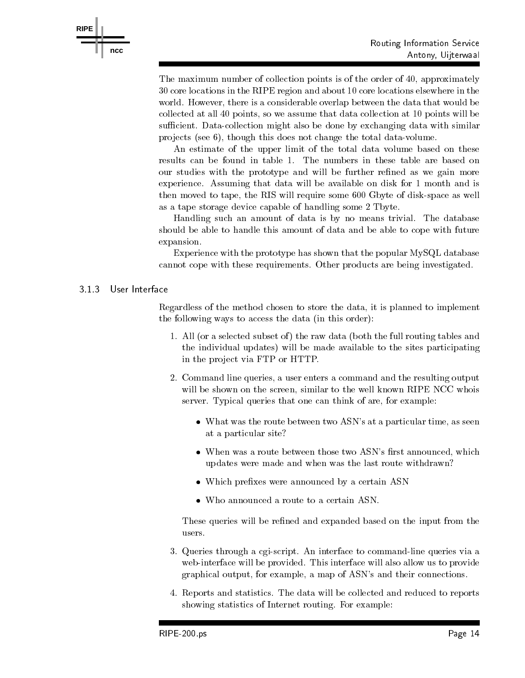

The maximum number of collection points is of the order of - approximately core locations in the RIPE region and about core locations elsewhere in the world However-However-However-However-However-However-However-However-However-However-However-However-Howevercollected at all points-  $p$  and data collection at  $\alpha$  will be assumed that data collection at  $p$ sufficient. Data-collection might also be done by exchanging data with similar produced the seed the this does not change the total data varies to the total data varies of the total data va

An estimate of the upper limit of the total data volume based on these results can be found in table 1. The numbers in these table are based on our studies with the prototype and will be further refined as we gain more experience. Assuming that data will be available on disk for 1 month and is then moved to tape- the RIS will require some 
 Gbyte of diskspace as well as a tape storage device capable of handling some 2 Tbyte.

Handling such an amount of data is by no means trivial. The database should be able to handle this amount of data and be able to cope with future expansion. expansion and the contract of the contract of the contract of the contract of the contract of the contract of the contract of the contract of the contract of the contract of the contract of the contract of the contract of

Experience with the prototype has shown that the popular MySQL database cannot cope with these requirements. Other products are being investigated.

### 313 User Interface

regardless of the method chosen to store the data-the data-the data-the planned to implementation of the datathe following ways to access the data (in this order):

- 1. All (or a selected subset of) the raw data (both the full routing tables and the individual updates) will be made available to the sites participating in the project via FTP or HTTP.
- Command line queries- a user enters a command and the resulting output will be shown on the screen-to-the screen-to-the well known RIPE NCC who screenserver and the can think of are-the-can think of are-the-can think of are-the-can think of are-the-can the-can think of are
	- when the route between the route between the second the particular time-time-time-time-timeat a particular site
	- when we was a route between those two assessed that the state of the state  $\mathcal{P}$ updates were made and when was the last route withdrawn
	- Which prefixes were announced by a certain ASN
	-

These queries will be refined and expanded based on the input from the users 

- Queries through a cgiscript An interface to commandline queries via a web-interface will be provided. This interface will also allow us to provide graphical output- for example- a map of ASNs and their connections and the connections of  $\alpha$
- 4. Reports and statistics. The data will be collected and reduced to reports showing statistics of Internet routing. For example: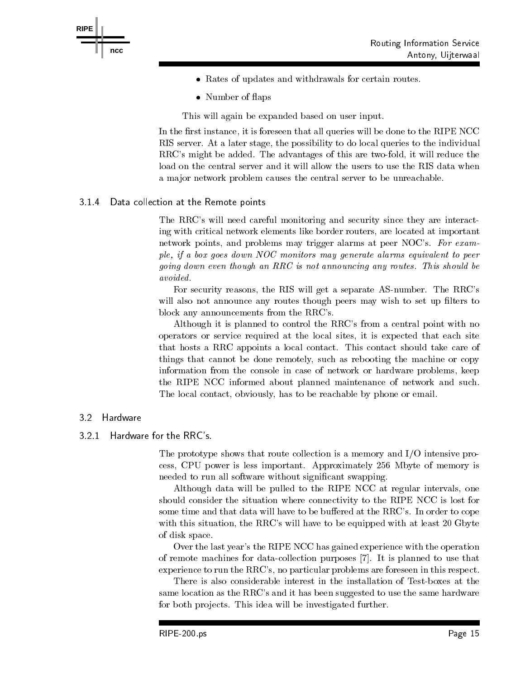



- Rates of updates and withdrawals for certain routes.
- Number of flaps

This will again be expanded based on user input 

In the rst instance- it is foreseen that all queries will be done to the RIPE NCC RIS server At a later stage- the possibility to do local queries to the individual RRCs might be added The advantages of this are twofold- it will reduce the load on the central server and it will allow the users to use the RIS data when a major network problem causes the central server to be unreachable.

# 3.1.4 Data collection at the Remote points

The RRC's will need careful monitoring and security since they are interacting with critical network elements like border routers- are located at important network problems may problems many trigger alarms at peer not at all thems . ple, if a box goes down NOC monitors may generate alarms equivalent to peer going down even the sque and the show is not announced any routes- where the show and the avoided.

For security reasons- the RIS will get a separate ASnumber The RRCs will also not announce any routes though peers may wish to set up filters to block any announcements from the RRC's.

Although it is planned to control the RRC's from a central point with no operators or service requirement at the local sites, at he local sites- that the sitesthat hosts a RRC appoints a local contact. This contact should take care of  $\tau$  the done represented that can represent the machine or copy the machine or copy  $\tau$ information from the console in case of network or hardware problems- keep the RIPE NCC informed about planned maintenance of network and such The local contact-dependent or email  $\mathcal{M}$ 

#### 3.2 Hardware

#### 321 Hardware for the RRC's.

The prototype shows that route collection is a memory and  $I/O$  intensive process-between interesting in the cess-between interesting interesting in the central central central central central central central central central central central central central central central central central central ce needed to run all software without significant swapping.

 $\mathbf{A}$ lthough data will be pulled to the RIPE NCC at regular intervals-valuesshould consider the situation where connectivity to the RIPE NCC is lost for some time and that data will have to be buffered at the RRC's. In order to cope with the RRCs will have to be equipped with a least  $\mu$  at least  $\mu$  at least  $\mu$  at least  $\mu$  at least  $\mu$ of disk space 

Over the last year's the RIPE NCC has gained experience with the operation of remote machines for data-collection purposes [7]. It is planned to use that experience to run the RRCs- no particular problems are foreseen in this respect 

There is also considerable interest in the installation of Test-boxes at the same location as the RRC's and it has been suggested to use the same hardware for both projects. This idea will be investigated further.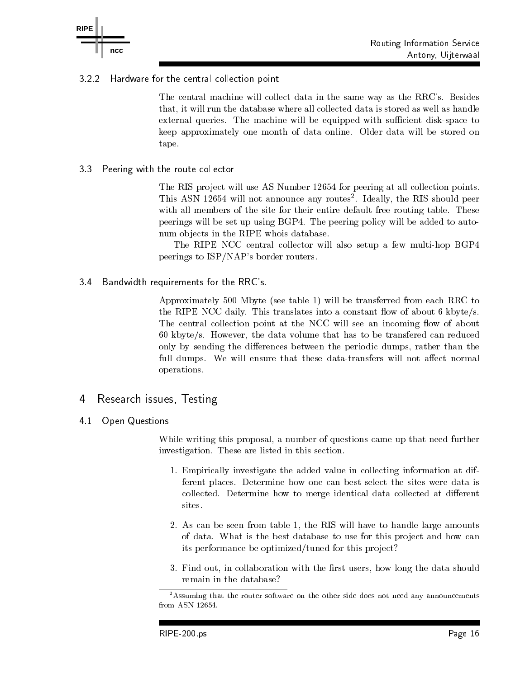

#### 322 Hardware for the central collection point

The central machine will collect data in the same way as the RRC's. Besides that it will require that the database will require a stored as well as well as the data in the stored as  $\sim$ external queries. The machine will be equipped with sufficient disk-space to keep approximately one month of data online. Older data will be stored on tape 

#### 33 Peering with the route collector

The RIS project will use AS Number 12654 for peering at all collection points. This ASN  will not announce any routes Ideally- the RIS should peer with all members of the site for their entire default free routing table. These peerings will be set up using BGP4. The peering policy will be added to autonum objects in the RIPE whois database.

The RIPE NCC central collector will also setup a few multi-hop BGP4 peerings to ISP/NAP's border routers.

3.4 Bandwidth requirements for the RRC's.

Approximately  $500$  Mbyte (see table 1) will be transferred from each RRC to the RIPE NCC daily. This translates into a constant flow of about 6 kbyte/s. The central collection point at the NCC will see an incoming flow of about , the data versus that the data volume that the data volume that the state of the data volume of the state of only by sending the dierences between the periodic dumps- rather than the full dumps. We will ensure that these data-transfers will not affect normal operations 

# 4 Research issues, Testing

 Open Questions 41

> While writing this proposal- a number of questions came up that need further investigation. These are listed in this section.

- 1. Empirically investigate the added value in collecting information at different places. Determine how one can best select the sites were data is collected. Determine how to merge identical data collected at different
- As can be seen from table the RIS will have to handle large amounts of data. What is the best database to use for this project and how can its performance be optimized/tuned for this project?
- Find out- in collaboration with the rst users- how long the data should remain in the database

<sup>&</sup>lt;sup>2</sup>Assuming that the router software on the other side does not need any announcements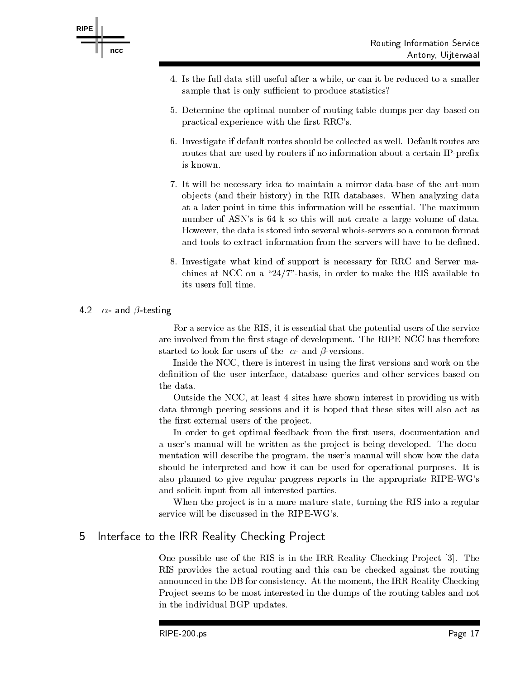



- Is the full data still useful after a while- or can it be reduced to a smaller sample that is only sufficient to produce statistics?
- Determine the optimal number of routing table dumps per day based on practical experience with the first RRC's.
- 6. Investigate if default routes should be collected as well. Default routes are routes that are used by routers if no information about a certain IP-prefix is known
- 7. It will be necessary idea to maintain a mirror data-base of the aut-num objects (and their history) in the RIR databases. When analyzing data at a later point in time this information will be essential. The maximum number of ASN's is  $64 \text{ k}$  so this will not create a large volume of data. However- the data is stored into several whoisservers so a common format and tools to extract information from the servers will have to be defined.
- Investigate what kind of support is necessary for RRC and Server ma chines at NCC on a basis-basis-basis-basis-basis-basis-basis-basis-basis-basis-basis-basis-basis-basis-basisits users full time.

# - and testing

For a service as the RIS- it is essential that the potential users of the service are involved from the first stage of development. The RIPE NCC has therefore started to look for users of the  $\alpha$ - and  $\beta$ -versions.

Inside the NCC- there is interest in using the rst versions and work on the denition of the user interface-on the user of the user services based on the services based on the services ba

Outside the NCC- at least  sites have shown interest in providing us with data through peering sessions and it is hoped that these sites will also act as the first external users of the project.

In order to get optimal feedback from the rst users- documentation and a user's manual will be written as the project is being developed. The documentation will describe the program- the users manual will show how the data should be interpreted and how it can be used for operational purposes. It is also planned to give regular progress reports in the appropriate RIPE-WG's and solicit input from all interested parties 

when the project is in a more mature state-state state-state and the RIS into a regular stateservice will be discussed in the RIPE-WG's.

#### Interface to the IRR Reality Checking Project 5

One possible use of the RIS is in the IRR Reality Checking Pro ject july Processes and the IRR Reality Pro second RIS provides the actual routing and this can be checked against the routing announced in the DB for constraints  $\mathbf{A}$ Project seems to be most interested in the dumps of the routing tables and not in the individual BGP updates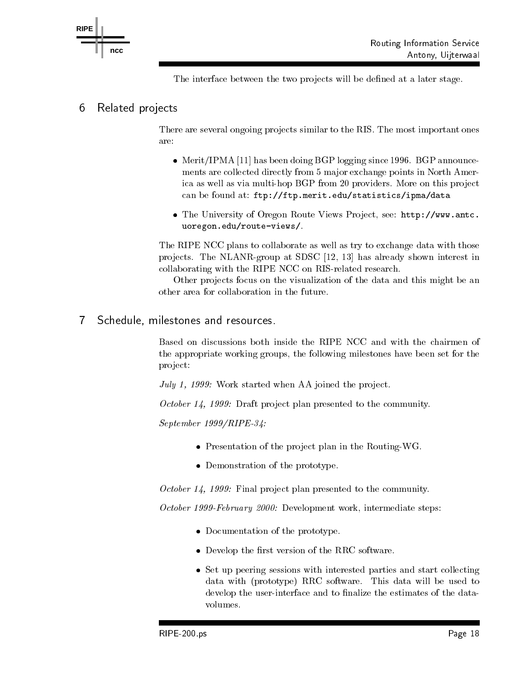

The interface between the two projects will be defined at a later stage.

# 6 Related projects

There are several ongoing projects similar to the RIS. The most important ones are

- Merit/IPMA [11] has been doing BGP logging since 1996. BGP announcements are collected directly from 5 major exchange points in North America as well as via multi-hop BGP from 20 providers. More on this project edustation at found at function  $\mathcal{C}$  at found at found at found at found at  $\mathcal{C}$
- The University of Oregon Route Views Pro ject- see httpwww-antcuoregon-edurouteviews

The RIPE NCC plans to collaborate as well as try to exchange data with those pro jects The NLANRgroup at SDSC - has already shown interest in collaborating with the RIPE NCC on RIS-related research.

Other projects focus on the visualization of the data and this might be an other area for collaboration in the future 

Schedule, milestones and resources.  $\overline{7}$ 

> Based on discussions both inside the RIPE NCC and with the chairmen of the appropriate working groups- the following milestones have been set for the project:

July 1, 1999: Work started when AA joined the project.

October 14, 1999: Draft project plan presented to the community.

 $September 1999/RIPE-34$ :

- $\bullet$  Presentation of the project plan in the Routing-WG.
- Demonstration of the prototype.

October 14, 1999: Final project plan presented to the community.

October February Development work- intermediate steps

- Documentation of the prototype.
- $\bullet$  Develop the first version of the RRC software.
- Set up peering sessions with interested parties and start collecting data with (prototype) RRC software. This data will be used to develop the user-interface and to finalize the estimates of the datavolumes.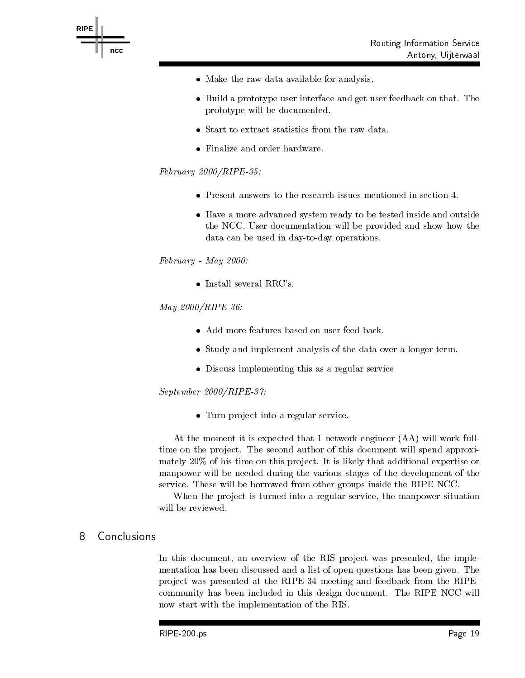

- Make the raw data available for analysis.
- Build a prototype user interface and get user feedback on that. The prototype will be documented
- $\bullet$  Start to extract statistics from the raw data.
- Finalize and order hardware.

# $February 2000/RIPE-35.$

- Present answers to the research issues mentioned in section 4.
- Have a more advanced system ready to be tested inside and outside the NCC. User documentation will be provided and show how the data can be used in day-to-day operations.

### $February$  - May 2000.

 $\bullet$  Install several RRC's.

# $May 2000/RIPE-36:$

- Add more features based on user feed-back.
- Study and implement analysis of the data over a longer term.
- Discuss implementing this as a regular service

### $September~2000/RIPE-37$ :

• Turn project into a regular service.

At the moment it is expected that 1 network engineer (AA) will work fulltime on the project. The second author of this document will spend approximately  $20\%$  of his time on this project. It is likely that additional expertise or manpower will be needed during the various stages of the development of the service. These will be borrowed from other groups inside the RIPE NCC.

When the pro ject is turned into a regular service- the manpower situation will be reviewed 

#### 8 **Conclusions**

In this document- an overview of the RIS pro ject was presented- the imple mentation has been discussed and a list of open questions has been given. The pro ject was presented atthe RIPE  meeting and feedback from the RIPE community has been included in this design document. The RIPE NCC will now start with the implementation of the RIS